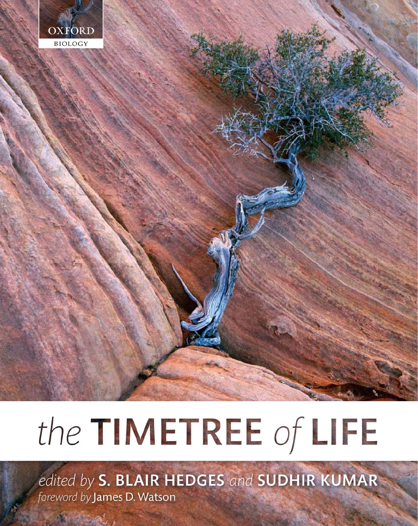

# the TIMETREE of LIFE

edited by S. BLAIR HEDGES and SUDHIR KUMAR foreword by James D. Watson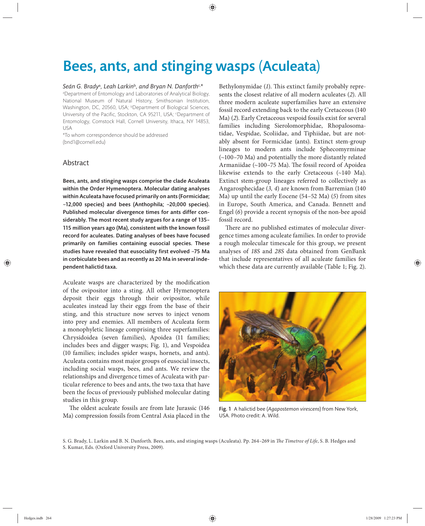# Bees, ants, and stinging wasps (Aculeata)

#### *Seán G. Brady*<sup>a</sup> *, Leah Larkin*<sup>b</sup>*, and Bryan N. Danforth*c,*\**

a Department of Entomology and Laboratories of Analytical Biology, National Museum of Natural History, Smithsonian Institution, Washington, DC, 20560, USA; <sup>b</sup>Department of Biological Sciences, University of the Pacific, Stockton, CA 95211, USA; <sup>c</sup>Department of Entomology, Comstock Hall, Cornell University, Ithaca, NY 14853, USA

\*To whom correspondence should be addressed (bnd1@cornell.edu)

## Abstract

Bees, ants, and stinging wasps comprise the clade Aculeata within the Order Hymenoptera. Molecular dating analyses within Aculeata have focused primarily on ants (Formicidae;  $\sim$ 12,000 species) and bees (Anthophila;  $\sim$ 20,000 species). Published molecular divergence times for ants differ considerably. The most recent study argues for a range of 135– 115 million years ago (Ma), consistent with the known fossil record for aculeates. Dating analyses of bees have focused primarily on families containing eusocial species. These studies have revealed that eusociality first evolved  $~25$  Ma in corbiculate bees and as recently as 20 Ma in several independent halictid taxa.

Aculeate wasps are characterized by the modification of the ovipositor into a sting. All other Hymenoptera deposit their eggs through their ovipositor, while aculeates instead lay their eggs from the base of their sting, and this structure now serves to inject venom into prey and enemies. All members of Aculeata form a monophyletic lineage comprising three superfamilies: Chrysidoidea (seven families), Apoidea (11 families; includes bees and digger wasps; Fig. 1), and Vespoidea (10 families; includes spider wasps, hornets, and ants). Aculeata contains most major groups of eusocial insects, including social wasps, bees, and ants. We review the relationships and divergence times of Aculeata with particular reference to bees and ants, the two taxa that have been the focus of previously published molecular dating studies in this group.

The oldest aculeate fossils are from late Jurassic (146 Ma) compression fossils from Central Asia placed in the Bethylonymidae (1). This extinct family probably represents the closest relative of all modern aculeates (*2*). All three modern aculeate superfamilies have an extensive fossil record extending back to the early Cretaceous (140 Ma) (*2*). Early Cretaceous vespoid fossils exist for several families including Sierolomorphidae, Rhopalosomatidae, Vespidae, Scoliidae, and Tiphiidae, but are notably absent for Formicidae (ants). Extinct stem-group lineages to modern ants include Sphecomyrminae (~100–70 Ma) and potentially the more distantly related Armaniidae (~100-75 Ma). The fossil record of Apoidea likewise extends to the early Cretaceous (~140 Ma). Extinct stem-group lineages referred to collectively as Angarosphecidae (*3, 4*) are known from Barremian (140 Ma) up until the early Eocene (54–52 Ma) (*5*) from sites in Europe, South America, and Canada. Bennett and Engel (*6*) provide a recent synopsis of the non-bee apoid fossil record.

There are no published estimates of molecular divergence times among aculeate families. In order to provide a rough molecular timescale for this group, we present analyses of *18S* and *28S* data obtained from GenBank that include representatives of all aculeate families for which these data are currently available (Table 1; Fig. 2).



Fig. 1 A halictid bee (*Agapostemon virescens*) from New York, USA. Photo credit: A. Wild.

S. G. Brady, L. Larkin and B. N. Danforth. Bees, ants, and stinging wasps (Aculeata). Pp. 264-269 in *The Timetree of Life*, S. B. Hedges and S. Kumar, Eds. (Oxford University Press, 2009).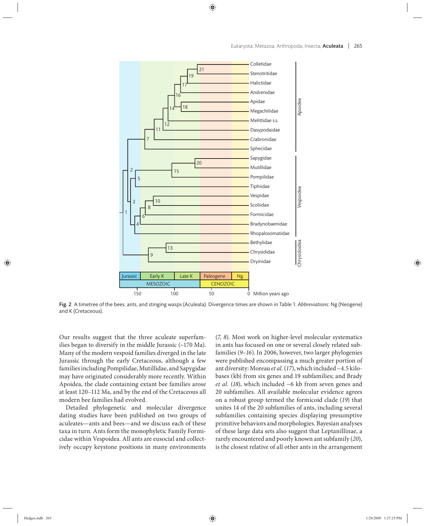

Fig. 2 A timetree of the bees, ants, and stinging wasps (Aculeata). Divergence times are shown in Table 1. *Abbreviations*: Ng (Neogene) and K (Cretaceous).

Our results suggest that the three aculeate superfamilies began to diversify in the middle Jurassic  $(\sim 170$  Ma). Many of the modern vespoid families diverged in the late Jurassic through the early Cretaceous, although a few families including Pompilidae, Mutillidae, and Sapygidae may have originated considerably more recently. Within Apoidea, the clade containing extant bee families arose at least 120–112 Ma, and by the end of the Cretaceous all modern bee families had evolved.

Detailed phylogenetic and molecular divergence dating studies have been published on two groups of aculeates—ants and bees—and we discuss each of these taxa in turn. Ants form the monophyletic Family Formicidae within Vespoidea. All ants are eusocial and collectively occupy keystone positions in many environments (*7, 8*). Most work on higher-level molecular systematics in ants has focused on one or several closely related subfamilies (*9–16*). In 2006, however, two larger phylogenies were published encompassing a much greater portion of ant diversity: Moreau *et al.* (*17*), which included ~4.5 kilobases (kb) from six genes and 19 subfamilies; and Brady *et al.* (*18*), which included ~6 kb from seven genes and 20 subfamilies. All available molecular evidence agrees on a robust group termed the formicoid clade (*19*) that unites 14 of the 20 subfamilies of ants, including several subfamilies containing species displaying presumptive primitive behaviors and morphologies. Bayesian analyses of these large data sets also suggest that Leptanillinae, a rarely encountered and poorly known ant subfamily (*20*), is the closest relative of all other ants in the arrangement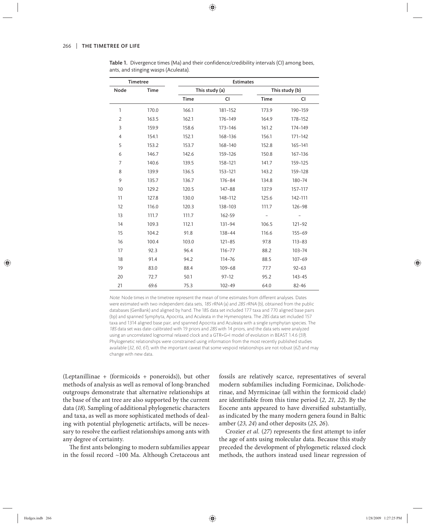|                                      | Table 1. Divergence times (Ma) and their confidence/credibility intervals (CI) among bees, |
|--------------------------------------|--------------------------------------------------------------------------------------------|
| ants, and stinging wasps (Aculeata). |                                                                                            |

| <b>Timetree</b> |       |             | <b>Estimates</b> |                   |                |  |  |
|-----------------|-------|-------------|------------------|-------------------|----------------|--|--|
| Node            | Time  |             | This study (a)   |                   | This study (b) |  |  |
|                 |       | <b>Time</b> | <b>CI</b>        | <b>Time</b>       | CI             |  |  |
| $\mathbf{1}$    | 170.0 | 166.1       | 181-152          | 173.9             | 190-159        |  |  |
| $\overline{2}$  | 163.5 | 162.1       | 176-149          | 164.9             | 178-152        |  |  |
| 3               | 159.9 | 158.6       | 173-146          | 161.2             | 174-149        |  |  |
| $\overline{4}$  | 154.1 | 152.1       | 168-136          | 156.1             | 171-142        |  |  |
| 5               | 153.2 | 153.7       | 168-140          | 152.8             | $165 - 141$    |  |  |
| 6               | 146.7 | 142.6       | 159-126          | 150.8             | 167-136        |  |  |
| $\overline{7}$  | 140.6 | 139.5       | 158-121          | 141.7             | 159-125        |  |  |
| 8               | 139.9 | 136.5       | 153-121          | 143.2             | 159-128        |  |  |
| 9               | 135.7 | 136.7       | $176 - 84$       | 134.8             | 180-74         |  |  |
| 10              | 129.2 | 120.5       | 147-88           | 137.9             | 157-117        |  |  |
| 11              | 127.8 | 130.0       | 148-112          | 125.6             | 142-111        |  |  |
| 12              | 116.0 | 120.3       | 138-103          | 111.7             | $126 - 98$     |  |  |
| 13              | 111.7 | 111.7       | 162-59           | $\qquad \qquad -$ |                |  |  |
| 14              | 109.3 | 112.1       | 131-94           | 106.5             | 121-92         |  |  |
| 15              | 104.2 | 91.8        | $138 - 44$       | 116.6             | $155 - 69$     |  |  |
| 16              | 100.4 | 103.0       | $121 - 85$       | 97.8              | $113 - 83$     |  |  |
| 17              | 92.3  | 96.4        | $116 - 77$       | 88.2              | $103 - 74$     |  |  |
| 18              | 91.4  | 94.2        | 114-76           | 88.5              | $107 - 69$     |  |  |
| 19              | 83.0  | 88.4        | $109 - 68$       | 77.7              | $92 - 63$      |  |  |
| 20              | 72.7  | 50.1        | $97 - 12$        | 95.2              | 143-45         |  |  |
| 21              | 69.6  | 75.3        | 102-49           | 64.0              | 82-46          |  |  |

Note: Node times in the timetree represent the mean of time estimates from different analyses. Dates were estimated with two independent data sets, 18S rRNA (a) and 28S rRNA (b), obtained from the public databases (GenBank) and aligned by hand. The 18S data set included 177 taxa and 770 aligned base pairs (bp) and spanned Symphyta, Apocrita, and Aculeata in the Hymenoptera. The 28S data set included 157 taxa and 1314 aligned base pair, and spanned Apocrita and Aculeata with a single symphytan species. The 18S data set was date-calibrated with 19 priors and 28S with 14 priors, and the data sets were analyzed using an uncorrelated lognormal relaxed clock and a GTR+G+I model of evolution in BEAST 1.4.6 (59). Phylogenetic relationships were constrained using information from the most recently published studies available  $(32, 60, 61)$ , with the important caveat that some vespoid relationships are not robust  $(62)$  and may change with new data.

(Leptanillinae + (formicoids + poneroids)), but other methods of analysis as well as removal of long-branched outgroups demonstrate that alternative relationships at the base of the ant tree are also supported by the current data (*18*). Sampling of additional phylogenetic characters and taxa, as well as more sophisticated methods of dealing with potential phylogenetic artifacts, will be necessary to resolve the earliest relationships among ants with any degree of certainty.

The first ants belonging to modern subfamilies appear in the fossil record ~100 Ma. Although Cretaceous ant fossils are relatively scarce, representatives of several modern subfamilies including Formicinae, Dolichoderinae, and Myrmicinae (all within the formicoid clade) are identifiable from this time period (2, 21, 22). By the Eocene ants appeared to have diversified substantially, as indicated by the many modern genera found in Baltic amber (*23, 24*) and other deposits (*25, 26*).

Crozier *et al.* (27) represents the first attempt to infer the age of ants using molecular data. Because this study preceded the development of phylogenetic relaxed clock methods, the authors instead used linear regression of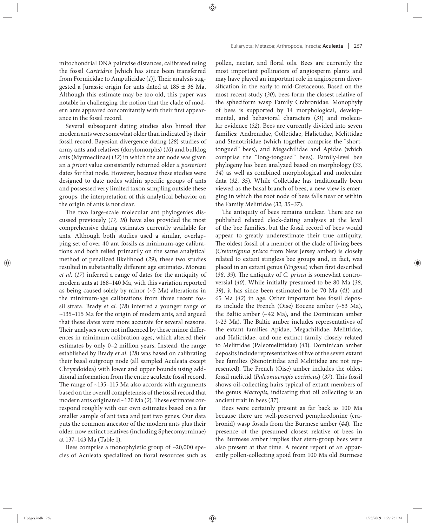mitochondrial DNA pairwise distances, calibrated using the fossil *Cariridris* [which has since been transferred from Formicidae to Ampulicidae (1)]. Their analysis suggested a Jurassic origin for ants dated at  $185 \pm 36$  Ma. Although this estimate may be too old, this paper was notable in challenging the notion that the clade of modern ants appeared concomitantly with their first appearance in the fossil record.

Several subsequent dating studies also hinted that modern ants were somewhat older than indicated by their fossil record. Bayesian divergence dating (*28*) studies of army ants and relatives (dorylomorphs) (*10*) and bulldog ants (Myrmeciinae) (*12*) in which the ant node was given an *a priori* value consistently returned older *a posteriori* dates for that node. However, because these studies were designed to date nodes within specific groups of ants and possessed very limited taxon sampling outside these groups, the interpretation of this analytical behavior on the origin of ants is not clear.

The two large-scale molecular ant phylogenies discussed previously (*17, 18*) have also provided the most comprehensive dating estimates currently available for ants. Although both studies used a similar, overlapping set of over 40 ant fossils as minimum-age calibrations and both relied primarily on the same analytical method of penalized likelihood (29), these two studies resulted in substantially different age estimates. Moreau *et al.* (*17*) inferred a range of dates for the antiquity of modern ants at 168–140 Ma, with this variation reported as being caused solely by minor (~5 Ma) alterations in the minimum-age calibrations from three recent fossil strata. Brady *et al.* (18) inferred a younger range of ~135–115 Ma for the origin of modern ants, and argued that these dates were more accurate for several reasons. Their analyses were not influenced by these minor differences in minimum calibration ages, which altered their estimates by only 0–2 million years. Instead, the range established by Brady *et al.* (*18*) was based on calibrating their basal outgroup node (all sampled Aculeata except Chrysidoidea) with lower and upper bounds using additional information from the entire aculeate fossil record. The range of  $~135-115$  Ma also accords with arguments based on the overall completeness of the fossil record that modern ants originated ~120 Ma (2). These estimates correspond roughly with our own estimates based on a far smaller sample of ant taxa and just two genes. Our data puts the common ancestor of the modern ants plus their older, now extinct relatives (including Sphecomyrminae) at 137–143 Ma (Table 1).

Bees comprise a monophyletic group of ~20,000 species of Aculeata specialized on floral resources such as pollen, nectar, and floral oils. Bees are currently the most important pollinators of angiosperm plants and may have played an important role in angiosperm diversification in the early to mid-Cretaceous. Based on the most recent study (*30*), bees form the closest relative of the spheciform wasp Family Crabronidae. Monophyly of bees is supported by 14 morphological, developmental, and behavioral characters (*31*) and molecular evidence (*32*). Bees are currently divided into seven families: Andrenidae, Colletidae, Halictidae, Melittidae and Stenotritidae (which together comprise the "shorttongued" bees), and Megachilidae and Apidae (which comprise the "long-tongued" bees). Family-level bee phylogeny has been analyzed based on morphology (*33, 34*) as well as combined morphological and molecular data (*32, 35*). While Colletidae has traditionally been viewed as the basal branch of bees, a new view is emerging in which the root node of bees falls near or within the Family Melittidae (*32, 35–37*).

The antiquity of bees remains unclear. There are no published relaxed clock-dating analyses at the level of the bee families, but the fossil record of bees would appear to greatly underestimate their true antiquity. The oldest fossil of a member of the clade of living bees (*Cretotrigona prisca* from New Jersey amber) is closely related to extant stingless bee groups and, in fact, was placed in an extant genus (*Trigona*) when first described (38, 39). The antiquity of *C. prisca* is somewhat controversial (*40*). While initially presumed to be 80 Ma (*38, 39*), it has since been estimated to be 70 Ma (*41*) and 65 Ma (*42*) in age. Other important bee fossil deposits include the French (Oise) Eocene amber (~53 Ma), the Baltic amber (~42 Ma), and the Dominican amber  $(-23$  Ma). The Baltic amber includes representatives of the extant families Apidae, Megachilidae, Melittidae, and Halictidae, and one extinct family closely related to Melittidae (Paleomelittidae) (*43*). Dominican amber deposits include representatives of five of the seven extant bee families (Stenotritidae and Melittidae are not represented). The French (Oise) amber includes the oldest fossil melittid (*Paleomacropis eocinicus*) (37). This fossil shows oil-collecting hairs typical of extant members of the genus *Macropis*, indicating that oil collecting is an ancient trait in bees (*37*).

Bees were certainly present as far back as 100 Ma because there are well-preserved pemphredonine (crabronid) wasp fossils from the Burmese amber (44). The presence of the presumed closest relative of bees in the Burmese amber implies that stem-group bees were also present at that time. A recent report of an apparently pollen-collecting apoid from 100 Ma old Burmese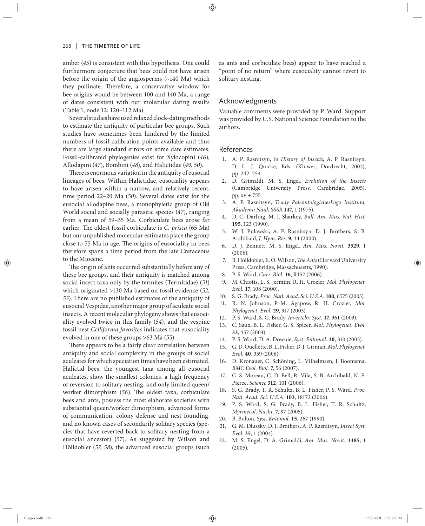amber (*45*) is consistent with this hypothesis. One could furthermore conjecture that bees could not have arisen before the origin of the angiosperms (~140 Ma) which they pollinate. Therefore, a conservative window for bee origins would be between 100 and 140 Ma, a range of dates consistent with our molecular dating results (Table 1; node 12: 120–112 Ma).

Several studies have used relaxed clock-dating methods to estimate the antiquity of particular bee groups. Such stu dies have sometimes been hindered by the limited numbers of fossil calibration points available and thus there are large standard errors on some date estimates. Fossil-calibrated phylogenies exist for Xylocopini (*46*), Allodapini (*47*), Bombini (*48*), and Halictidae (*49, 50*).

There is enormous variation in the antiquity of eusocial lineages of bees. Within Halictidae, eusociality appears to have arisen within a narrow, and relatively recent, time period 22–20 Ma (*50*). Several dates exist for the eusocial allodapine bees, a monophyletic group of Old World social and socially parasitic species (*47*), ranging from a mean of 59-35 Ma. Corbiculate bees arose far earlier. The oldest fossil corbiculate is *C. prisca* (65 Ma) but our unpublished molecular estimates place the group close to 75 Ma in age. The origins of eusociality in bees therefore spans a time period from the late Cretaceous to the Miocene.

The origin of ants occurred substantially before any of these bee groups, and their antiquity is matched among social insect taxa only by the termites (Termitidae) (*51*) which originated >130 Ma based on fossil evidence (*52, 53*). There are no published estimates of the antiquity of eusocial Vespidae, another major group of aculeate social insects. A recent molecular phylogeny shows that eusociality evolved twice in this family (*54*), and the vespine fossil nest *Celliforma favosites* indicates that eusociality evolved in one of these groups >63 Ma (*55*).

There appears to be a fairly clear correlation between antiquity and social complexity in the groups of social aculeates for which speciation times have been estimated. Halictid bees, the youngest taxa among all eusocial aculeates, show the smallest colonies, a high frequency of reversion to solitary nesting, and only limited queen/ worker dimorphism (56). The oldest taxa, corbiculate bees and ants, possess the most elaborate societies with substantial queen/worker dimorphism, advanced forms of communication, colony defense and nest founding, and no known cases of secondarily solitary species (species that have reverted back to solitary nesting from a eu social ancestor) (*57*). As suggested by Wilson and Hölldobler (*57, 58*), the advanced eusocial groups (such as ants and corbiculate bees) appear to have reached a "point of no return" where eusociality cannot revert to solitary nesting.

### Acknowledgments

Valuable comments were provided by P. Ward. Support was provided by U.S. National Science Foundation to the authors.

#### References

- 1. A. P. Rasnitsyn, in *History of Insects*, A. P. Rasnitsyn, D. L. J. Quicke, Eds. (Kluwer, Dordrecht, 2002), pp. 242–254.
- 2. D. Grimaldi, M. S. Engel, *Evolution of the Insects* (Cambridge University Press, Cambridge, 2005), pp. xv + 755.
- 3. A. P. Rasnitsyn, *Trudy Paleontologicheskogo Instituta, Akademii Nauk SSSR* **147**, 1 (1975).
- 4. D. C. Darling, M. J. Sharkey, *Bull. Am. Mus. Nat. Hist.* **195**, 123 (1990).
- 5. W. J. Pulawski, A. P. Rasnitsyn, D. J. Brothers, S. B. Archibald, *J. Hym. Res.* **9**, 34 (2000).
- 6. D. J. Bennett, M. S. Engel, *Am. Mus. Novit.* **3529**, 1 (2006).
- 7. B. Hölldobler, E. O. Wilson, *The Ants* (Harvard University Press, Cambridge, Massachusetts, 1990).
- 8. P. S. Ward, *Curr. Biol.* **16**, R152 (2006).
- 9. M. Chiotis, L. S. Jermiin, R. H. Crozier, *Mol. Phylogenet. Evol.* **17**, 108 (2000).
- 10. S. G. Brady, *Proc. Natl. Acad. Sci. U.S.A.* **100**, 6575 (2003).
- 11. R. N. Johnson, P.-M. Agapow, R. H. Crozier, *Mol. Phylogenet. Evol.* **29**, 317 (2003).
- 12. P. S. Ward, S. G. Brady, *Invertebr. Syst.* **17**, 361 (2003).
- 13. C. Saux, B. L. Fisher, G. S. Spicer, *Mol. Phylogenet. Evol.* **33**, 457 (2004).
- 14. P. S. Ward, D. A. Downie, *Syst. Entomol.* **30**, 310 (2005).
- 15. G. D. Ouellette, B. L. Fisher, D. J. Girman, *Mol. Phylogenet. Evol.* **40**, 359 (2006).
- 16. D. Kronauer, C. Schöning, L. Vilhelmsen, J. Boomsma, *BMC Evol. Biol.* **7**, 56 (2007).
- 17. C. S. Moreau, C. D. Bell, R. Vila, S. B. Archibald, N. E. Pierce, *Science* **312**, 101 (2006).
- 18. S. G. Brady, T. R. Schultz, B. L. Fisher, P. S. Ward, *Proc. Natl. Acad. Sci. U.S.A.* **103**, 18172 (2006).
- 19. P. S. Ward, S. G. Brady, B. L. Fisher, T. R. Schultz, *Myrmecol. Nachr.* **7**, 87 (2005).
- 20. B. Bolton, *Syst. Entomol.* **15**, 267 (1990).
- 21. G. M. Dlussky, D. J. Brothers, A. P. Rasnitsyn, *Insect Syst. Evol.* **35**, 1 (2004).
- 22. M. S. Engel, D. A. Grimaldi, *Am. Mus. Novit.* **3485**, 1 (2005).